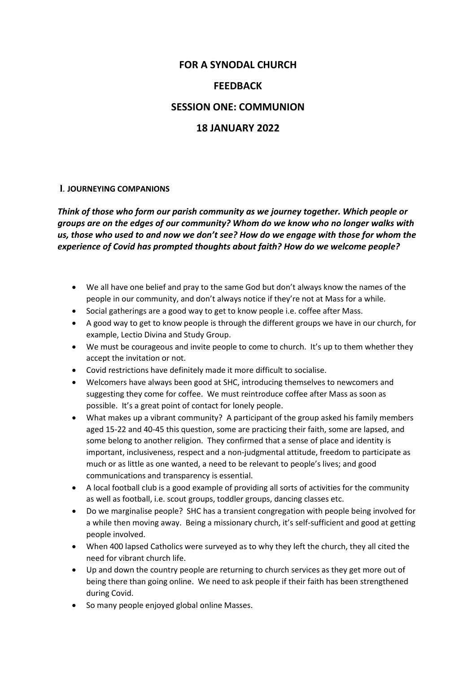# **FOR A SYNODAL CHURCH**

## **FEEDBACK**

### **SESSION ONE: COMMUNION**

# **18 JANUARY 2022**

### **l**. **JOURNEYING COMPANIONS**

*Think of those who form our parish community as we journey together. Which people or groups are on the edges of our community? Whom do we know who no longer walks with us, those who used to and now we don't see? How do we engage with those for whom the experience of Covid has prompted thoughts about faith? How do we welcome people?* 

- We all have one belief and pray to the same God but don't always know the names of the people in our community, and don't always notice if they're not at Mass for a while.
- Social gatherings are a good way to get to know people i.e. coffee after Mass.
- A good way to get to know people is through the different groups we have in our church, for example, Lectio Divina and Study Group.
- We must be courageous and invite people to come to church. It's up to them whether they accept the invitation or not.
- Covid restrictions have definitely made it more difficult to socialise.
- Welcomers have always been good at SHC, introducing themselves to newcomers and suggesting they come for coffee. We must reintroduce coffee after Mass as soon as possible. It's a great point of contact for lonely people.
- What makes up a vibrant community? A participant of the group asked his family members aged 15-22 and 40-45 this question, some are practicing their faith, some are lapsed, and some belong to another religion. They confirmed that a sense of place and identity is important, inclusiveness, respect and a non-judgmental attitude, freedom to participate as much or as little as one wanted, a need to be relevant to people's lives; and good communications and transparency is essential.
- A local football club is a good example of providing all sorts of activities for the community as well as football, i.e. scout groups, toddler groups, dancing classes etc.
- Do we marginalise people? SHC has a transient congregation with people being involved for a while then moving away. Being a missionary church, it's self-sufficient and good at getting people involved.
- When 400 lapsed Catholics were surveyed as to why they left the church, they all cited the need for vibrant church life.
- Up and down the country people are returning to church services as they get more out of being there than going online. We need to ask people if their faith has been strengthened during Covid.
- So many people enjoyed global online Masses.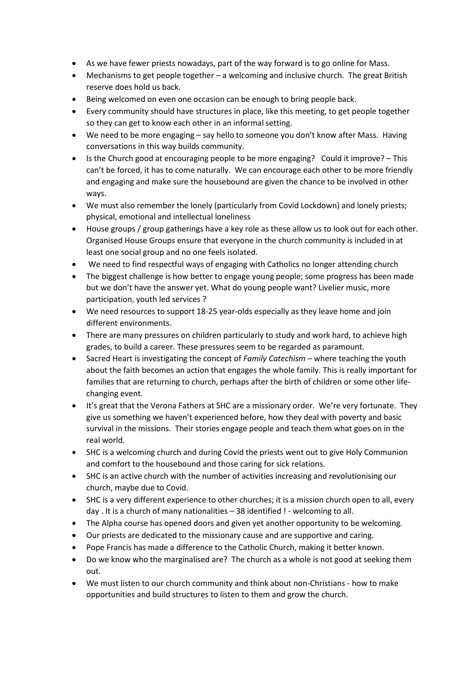- As we have fewer priests nowadays, part of the way forward is to go online for Mass.
- Mechanisms to get people together a welcoming and inclusive church. The great British reserve does hold us back.
- Being welcomed on even one occasion can be enough to bring people back.
- Every community should have structures in place, like this meeting, to get people together so they can get to know each other in an informal setting.
- We need to be more engaging say hello to someone you don't know after Mass. Having conversations in this way builds community.
- Is the Church good at encouraging people to be more engaging? Could it improve? This can't be forced, it has to come naturally. We can encourage each other to be more friendly and engaging and make sure the housebound are given the chance to be involved in other ways.
- We must also remember the lonely (particularly from Covid Lockdown) and lonely priests; physical, emotional and intellectual loneliness
- House groups / group gatherings have a key role as these allow us to look out for each other. Organised House Groups ensure that everyone in the church community is included in at least one social group and no one feels isolated.
- We need to find respectful ways of engaging with Catholics no longer attending church
- The biggest challenge is how better to engage young people; some progress has been made but we don't have the answer yet. What do young people want? Livelier music, more participation, youth led services ?
- We need resources to support 18-25 year-olds especially as they leave home and join different environments.
- There are many pressures on children particularly to study and work hard, to achieve high grades, to build a career. These pressures seem to be regarded as paramount.
- Sacred Heart is investigating the concept of *Family Catechism* where teaching the youth about the faith becomes an action that engages the whole family. This is really important for families that are returning to church, perhaps after the birth of children or some other lifechanging event.
- It's great that the Verona Fathers at SHC are a missionary order. We're very fortunate. They give us something we haven't experienced before, how they deal with poverty and basic survival in the missions. Their stories engage people and teach them what goes on in the real world.
- SHC is a welcoming church and during Covid the priests went out to give Holy Communion and comfort to the housebound and those caring for sick relations.
- SHC is an active church with the number of activities increasing and revolutionising our church, maybe due to Covid.
- SHC is a very different experience to other churches; it is a mission church open to all, every day . It is a church of many nationalities – 38 identified ! - welcoming to all.
- The Alpha course has opened doors and given yet another opportunity to be welcoming.
- Our priests are dedicated to the missionary cause and are supportive and caring.
- Pope Francis has made a difference to the Catholic Church, making it better known.
- Do we know who the marginalised are? The church as a whole is not good at seeking them out.
- We must listen to our church community and think about non-Christians how to make opportunities and build structures to listen to them and grow the church.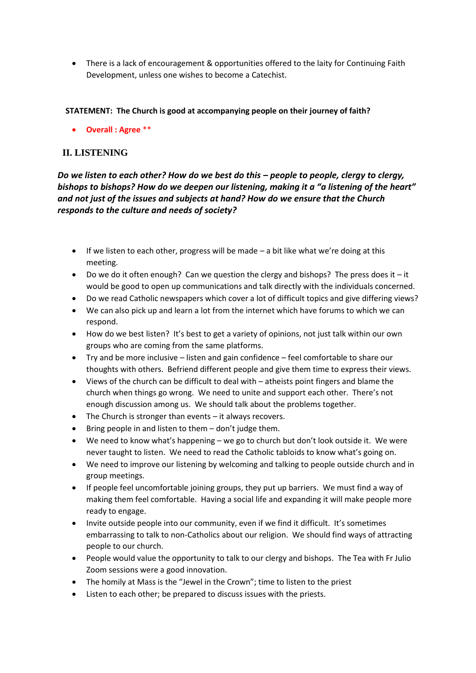• There is a lack of encouragement & opportunities offered to the laity for Continuing Faith Development, unless one wishes to become a Catechist.

#### **STATEMENT: The Church is good at accompanying people on their journey of faith?**

• **Overall : Agree** \*\*

### **II. LISTENING**

*Do we listen to each other? How do we best do this – people to people, clergy to clergy, bishops to bishops? How do we deepen our listening, making it a "a listening of the heart" and not just of the issues and subjects at hand? How do we ensure that the Church responds to the culture and needs of society?* 

- If we listen to each other, progress will be made a bit like what we're doing at this meeting.
- Do we do it often enough? Can we question the clergy and bishops? The press does it it would be good to open up communications and talk directly with the individuals concerned.
- Do we read Catholic newspapers which cover a lot of difficult topics and give differing views?
- We can also pick up and learn a lot from the internet which have forums to which we can respond.
- How do we best listen? It's best to get a variety of opinions, not just talk within our own groups who are coming from the same platforms.
- Try and be more inclusive listen and gain confidence feel comfortable to share our thoughts with others. Befriend different people and give them time to express their views.
- Views of the church can be difficult to deal with atheists point fingers and blame the church when things go wrong. We need to unite and support each other. There's not enough discussion among us. We should talk about the problems together.
- The Church is stronger than events it always recovers.
- Bring people in and listen to them don't judge them.
- We need to know what's happening we go to church but don't look outside it. We were never taught to listen. We need to read the Catholic tabloids to know what's going on.
- We need to improve our listening by welcoming and talking to people outside church and in group meetings.
- If people feel uncomfortable joining groups, they put up barriers. We must find a way of making them feel comfortable. Having a social life and expanding it will make people more ready to engage.
- Invite outside people into our community, even if we find it difficult. It's sometimes embarrassing to talk to non-Catholics about our religion. We should find ways of attracting people to our church.
- People would value the opportunity to talk to our clergy and bishops. The Tea with Fr Julio Zoom sessions were a good innovation.
- The homily at Mass is the "Jewel in the Crown"; time to listen to the priest
- Listen to each other; be prepared to discuss issues with the priests.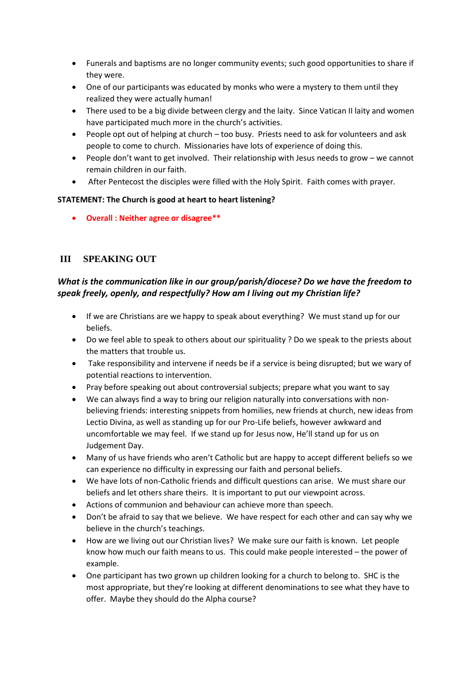- Funerals and baptisms are no longer community events; such good opportunities to share if they were.
- One of our participants was educated by monks who were a mystery to them until they realized they were actually human!
- There used to be a big divide between clergy and the laity. Since Vatican II laity and women have participated much more in the church's activities.
- People opt out of helping at church too busy. Priests need to ask for volunteers and ask people to come to church. Missionaries have lots of experience of doing this.
- People don't want to get involved. Their relationship with Jesus needs to grow we cannot remain children in our faith.
- After Pentecost the disciples were filled with the Holy Spirit. Faith comes with prayer.

#### **STATEMENT: The Church is good at heart to heart listening?**

• **Overall : Neither agree or disagree\*\***

## **III SPEAKING OUT**

## *What is the communication like in our group/parish/diocese? Do we have the freedom to speak freely, openly, and respectfully? How am I living out my Christian life?*

- If we are Christians are we happy to speak about everything? We must stand up for our beliefs.
- Do we feel able to speak to others about our spirituality ? Do we speak to the priests about the matters that trouble us.
- Take responsibility and intervene if needs be if a service is being disrupted; but we wary of potential reactions to intervention.
- Pray before speaking out about controversial subjects; prepare what you want to say
- We can always find a way to bring our religion naturally into conversations with nonbelieving friends: interesting snippets from homilies, new friends at church, new ideas from Lectio Divina, as well as standing up for our Pro-Life beliefs, however awkward and uncomfortable we may feel. If we stand up for Jesus now, He'll stand up for us on Judgement Day.
- Many of us have friends who aren't Catholic but are happy to accept different beliefs so we can experience no difficulty in expressing our faith and personal beliefs.
- We have lots of non-Catholic friends and difficult questions can arise. We must share our beliefs and let others share theirs. It is important to put our viewpoint across.
- Actions of communion and behaviour can achieve more than speech.
- Don't be afraid to say that we believe. We have respect for each other and can say why we believe in the church's teachings.
- How are we living out our Christian lives? We make sure our faith is known. Let people know how much our faith means to us. This could make people interested – the power of example.
- One participant has two grown up children looking for a church to belong to. SHC is the most appropriate, but they're looking at different denominations to see what they have to offer. Maybe they should do the Alpha course?